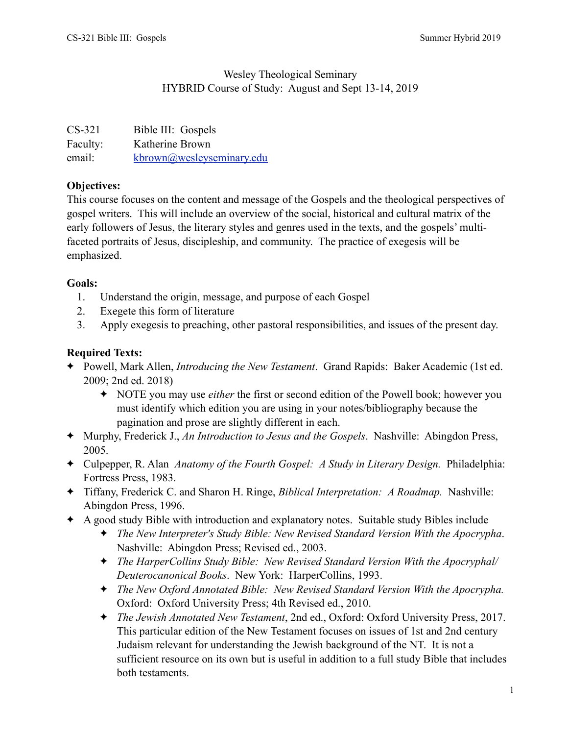# Wesley Theological Seminary HYBRID Course of Study: August and Sept 13-14, 2019

| $CS-321$ | Bible III: Gospels        |
|----------|---------------------------|
| Faculty: | Katherine Brown           |
| email:   | kbrown@wesleyseminary.edu |

# **Objectives:**

This course focuses on the content and message of the Gospels and the theological perspectives of gospel writers. This will include an overview of the social, historical and cultural matrix of the early followers of Jesus, the literary styles and genres used in the texts, and the gospels' multifaceted portraits of Jesus, discipleship, and community. The practice of exegesis will be emphasized.

### **Goals:**

- 1. Understand the origin, message, and purpose of each Gospel
- 2. Exegete this form of literature
- 3. Apply exegesis to preaching, other pastoral responsibilities, and issues of the present day.

# **Required Texts:**

- ✦ Powell, Mark Allen, *Introducing the New Testament*. Grand Rapids: Baker Academic (1st ed. 2009; 2nd ed. 2018)
	- ✦ NOTE you may use *either* the first or second edition of the Powell book; however you must identify which edition you are using in your notes/bibliography because the pagination and prose are slightly different in each.
- ✦ Murphy, Frederick J., *An Introduction to Jesus and the Gospels*. Nashville: Abingdon Press, 2005.
- ✦ Culpepper, R. Alan *Anatomy of the Fourth Gospel: A Study in Literary Design.* Philadelphia: Fortress Press, 1983.
- ✦ Tiffany, Frederick C. and Sharon H. Ringe, *Biblical Interpretation: A Roadmap.* Nashville: Abingdon Press, 1996.
- ✦ A good study Bible with introduction and explanatory notes. Suitable study Bibles include
	- ✦ *The New Interpreter's Study Bible: New Revised Standard Version With the Apocrypha*. Nashville: Abingdon Press; Revised ed., 2003.
	- ✦ *The HarperCollins Study Bible: New Revised Standard Version With the Apocryphal/ Deuterocanonical Books*. New York: HarperCollins, 1993.
	- ✦ *The New Oxford Annotated Bible: New Revised Standard Version With the Apocrypha.* Oxford: Oxford University Press; 4th Revised ed., 2010.
	- ✦ *The Jewish Annotated New Testament*, 2nd ed., Oxford: Oxford University Press, 2017. This particular edition of the New Testament focuses on issues of 1st and 2nd century Judaism relevant for understanding the Jewish background of the NT. It is not a sufficient resource on its own but is useful in addition to a full study Bible that includes both testaments.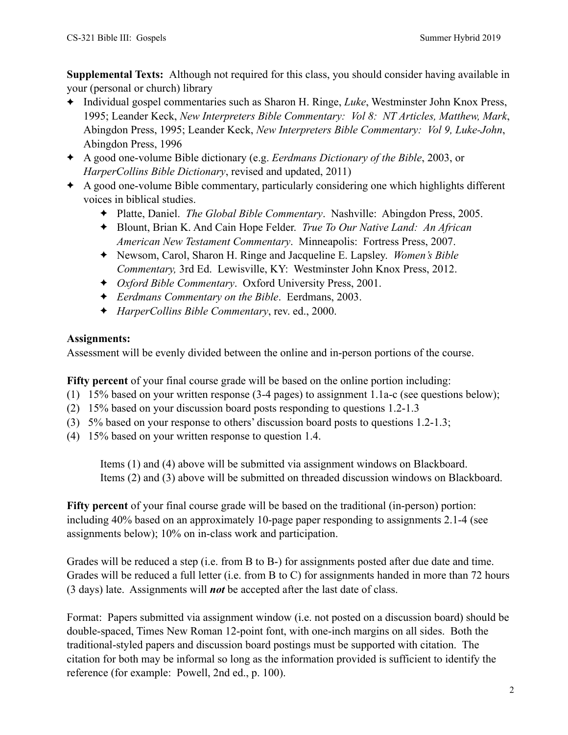**Supplemental Texts:** Although not required for this class, you should consider having available in your (personal or church) library

- ✦ Individual gospel commentaries such as Sharon H. Ringe, *Luke*, Westminster John Knox Press, 1995; Leander Keck, *New Interpreters Bible Commentary: Vol 8: NT Articles, Matthew, Mark*, Abingdon Press, 1995; Leander Keck, *New Interpreters Bible Commentary: Vol 9, Luke-John*, Abingdon Press, 1996
- ✦ A good one-volume Bible dictionary (e.g. *Eerdmans Dictionary of the Bible*, 2003, or *HarperCollins Bible Dictionary*, revised and updated, 2011)
- ✦ A good one-volume Bible commentary, particularly considering one which highlights different voices in biblical studies.
	- ✦ Platte, Daniel. *The Global Bible Commentary*. Nashville: Abingdon Press, 2005.
	- ✦ Blount, Brian K. And Cain Hope Felder. *True To Our Native Land: An African American New Testament Commentary*. Minneapolis: Fortress Press, 2007.
	- ✦ Newsom, Carol, Sharon H. Ringe and Jacqueline E. Lapsley. *Women's Bible Commentary,* 3rd Ed. Lewisville, KY: Westminster John Knox Press, 2012.
	- ✦ *Oxford Bible Commentary*. Oxford University Press, 2001.
	- ✦ *Eerdmans Commentary on the Bible*. Eerdmans, 2003.
	- ✦ *HarperCollins Bible Commentary*, rev. ed., 2000.

# **Assignments:**

Assessment will be evenly divided between the online and in-person portions of the course.

**Fifty percent** of your final course grade will be based on the online portion including:

- (1) 15% based on your written response (3-4 pages) to assignment 1.1a-c (see questions below);
- (2) 15% based on your discussion board posts responding to questions 1.2-1.3
- (3) 5% based on your response to others' discussion board posts to questions 1.2-1.3;
- (4) 15% based on your written response to question 1.4.

 Items (1) and (4) above will be submitted via assignment windows on Blackboard. Items (2) and (3) above will be submitted on threaded discussion windows on Blackboard.

**Fifty percent** of your final course grade will be based on the traditional (in-person) portion: including 40% based on an approximately 10-page paper responding to assignments 2.1-4 (see assignments below); 10% on in-class work and participation.

Grades will be reduced a step (i.e. from B to B-) for assignments posted after due date and time. Grades will be reduced a full letter (i.e. from B to C) for assignments handed in more than 72 hours (3 days) late. Assignments will *not* be accepted after the last date of class.

Format: Papers submitted via assignment window (i.e. not posted on a discussion board) should be double-spaced, Times New Roman 12-point font, with one-inch margins on all sides. Both the traditional-styled papers and discussion board postings must be supported with citation. The citation for both may be informal so long as the information provided is sufficient to identify the reference (for example: Powell, 2nd ed., p. 100).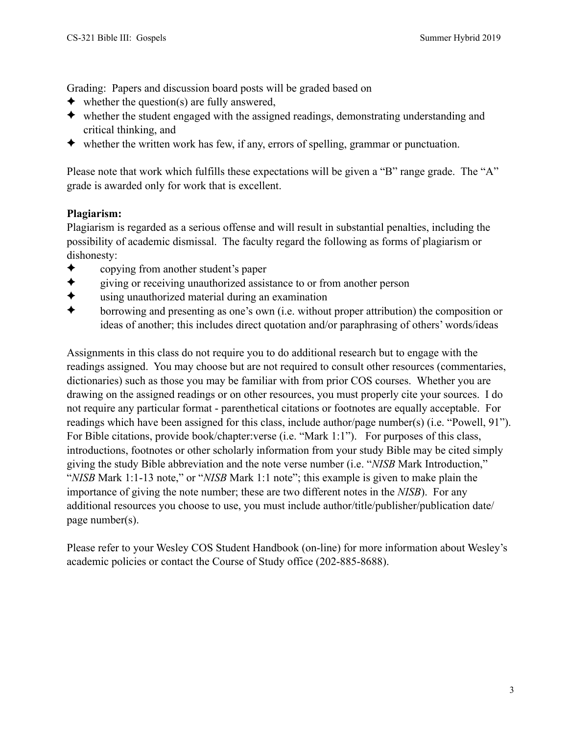Grading: Papers and discussion board posts will be graded based on

- $\blacklozenge$  whether the question(s) are fully answered,
- ✦ whether the student engaged with the assigned readings, demonstrating understanding and critical thinking, and
- $\blacklozenge$  whether the written work has few, if any, errors of spelling, grammar or punctuation.

Please note that work which fulfills these expectations will be given a "B" range grade. The "A" grade is awarded only for work that is excellent.

#### **Plagiarism:**

Plagiarism is regarded as a serious offense and will result in substantial penalties, including the possibility of academic dismissal. The faculty regard the following as forms of plagiarism or dishonesty:

- ✦ copying from another student's paper
- ✦ giving or receiving unauthorized assistance to or from another person
- $\bigstar$  using unauthorized material during an examination<br>  $\bigstar$  borrowing and presenting as one's own (i.e. without
- ✦ borrowing and presenting as one's own (i.e. without proper attribution) the composition or ideas of another; this includes direct quotation and/or paraphrasing of others' words/ideas

Assignments in this class do not require you to do additional research but to engage with the readings assigned. You may choose but are not required to consult other resources (commentaries, dictionaries) such as those you may be familiar with from prior COS courses. Whether you are drawing on the assigned readings or on other resources, you must properly cite your sources. I do not require any particular format - parenthetical citations or footnotes are equally acceptable. For readings which have been assigned for this class, include author/page number(s) (i.e. "Powell, 91"). For Bible citations, provide book/chapter:verse (i.e. "Mark 1:1"). For purposes of this class, introductions, footnotes or other scholarly information from your study Bible may be cited simply giving the study Bible abbreviation and the note verse number (i.e. "*NISB* Mark Introduction," "*NISB* Mark 1:1-13 note," or "*NISB* Mark 1:1 note"; this example is given to make plain the importance of giving the note number; these are two different notes in the *NISB*). For any additional resources you choose to use, you must include author/title/publisher/publication date/ page number(s).

Please refer to your Wesley COS Student Handbook (on-line) for more information about Wesley's academic policies or contact the Course of Study office (202-885-8688).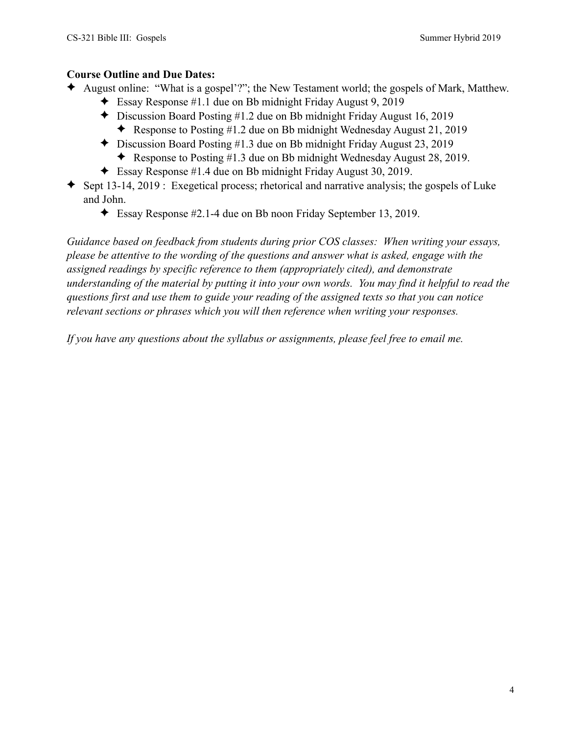### **Course Outline and Due Dates:**

- ✦ August online: "What is a gospel'?"; the New Testament world; the gospels of Mark, Matthew.
	- ✦ Essay Response #1.1 due on Bb midnight Friday August 9, 2019
	- ✦ Discussion Board Posting #1.2 due on Bb midnight Friday August 16, 2019
		- ✦ Response to Posting #1.2 due on Bb midnight Wednesday August 21, 2019
	- ✦ Discussion Board Posting #1.3 due on Bb midnight Friday August 23, 2019
		- ✦ Response to Posting #1.3 due on Bb midnight Wednesday August 28, 2019.
	- ✦ Essay Response #1.4 due on Bb midnight Friday August 30, 2019.
- $\blacklozenge$  Sept 13-14, 2019 : Exegetical process; rhetorical and narrative analysis; the gospels of Luke and John.
	- ✦ Essay Response #2.1-4 due on Bb noon Friday September 13, 2019.

*Guidance based on feedback from students during prior COS classes: When writing your essays, please be attentive to the wording of the questions and answer what is asked, engage with the assigned readings by specific reference to them (appropriately cited), and demonstrate understanding of the material by putting it into your own words. You may find it helpful to read the questions first and use them to guide your reading of the assigned texts so that you can notice relevant sections or phrases which you will then reference when writing your responses.* 

*If you have any questions about the syllabus or assignments, please feel free to email me.*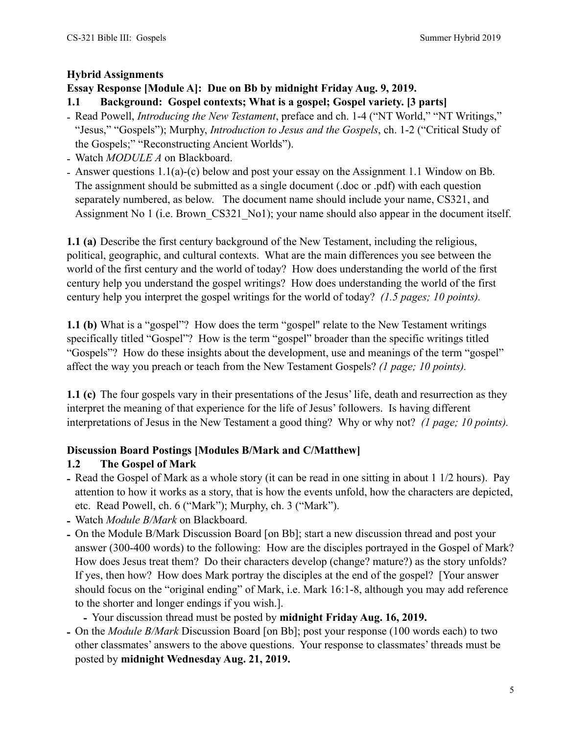## **Hybrid Assignments**

## **Essay Response [Module A]: Due on Bb by midnight Friday Aug. 9, 2019.**

## **1.1 Background: Gospel contexts; What is a gospel; Gospel variety. [3 parts]**

- Read Powell, *Introducing the New Testament*, preface and ch. 1-4 ("NT World," "NT Writings," "Jesus," "Gospels"); Murphy, *Introduction to Jesus and the Gospels*, ch. 1-2 ("Critical Study of the Gospels;" "Reconstructing Ancient Worlds").
- Watch *MODULE A* on Blackboard.
- Answer questions 1.1(a)-(c) below and post your essay on the Assignment 1.1 Window on Bb. The assignment should be submitted as a single document (.doc or .pdf) with each question separately numbered, as below. The document name should include your name, CS321, and Assignment No 1 (i.e. Brown CS321 No1); your name should also appear in the document itself.

**1.1 (a)** Describe the first century background of the New Testament, including the religious, political, geographic, and cultural contexts. What are the main differences you see between the world of the first century and the world of today? How does understanding the world of the first century help you understand the gospel writings? How does understanding the world of the first century help you interpret the gospel writings for the world of today? *(1.5 pages; 10 points).*

**1.1 (b)** What is a "gospel"? How does the term "gospel" relate to the New Testament writings specifically titled "Gospel"? How is the term "gospel" broader than the specific writings titled "Gospels"? How do these insights about the development, use and meanings of the term "gospel" affect the way you preach or teach from the New Testament Gospels? *(1 page; 10 points).*

**1.1 (c)** The four gospels vary in their presentations of the Jesus' life, death and resurrection as they interpret the meaning of that experience for the life of Jesus' followers. Is having different interpretations of Jesus in the New Testament a good thing? Why or why not? *(1 page; 10 points).*

#### **Discussion Board Postings [Modules B/Mark and C/Matthew]**

# **1.2 The Gospel of Mark**

- **-** Read the Gospel of Mark as a whole story (it can be read in one sitting in about 1 1/2 hours). Pay attention to how it works as a story, that is how the events unfold, how the characters are depicted, etc. Read Powell, ch. 6 ("Mark"); Murphy, ch. 3 ("Mark").
- **-** Watch *Module B/Mark* on Blackboard.
- **-** On the Module B/Mark Discussion Board [on Bb]; start a new discussion thread and post your answer (300-400 words) to the following: How are the disciples portrayed in the Gospel of Mark? How does Jesus treat them? Do their characters develop (change? mature?) as the story unfolds? If yes, then how? How does Mark portray the disciples at the end of the gospel? [Your answer should focus on the "original ending" of Mark, i.e. Mark 16:1-8, although you may add reference to the shorter and longer endings if you wish.].
	- **-** Your discussion thread must be posted by **midnight Friday Aug. 16, 2019.**
- **-** On the *Module B/Mark* Discussion Board [on Bb]; post your response (100 words each) to two other classmates' answers to the above questions. Your response to classmates' threads must be posted by **midnight Wednesday Aug. 21, 2019.**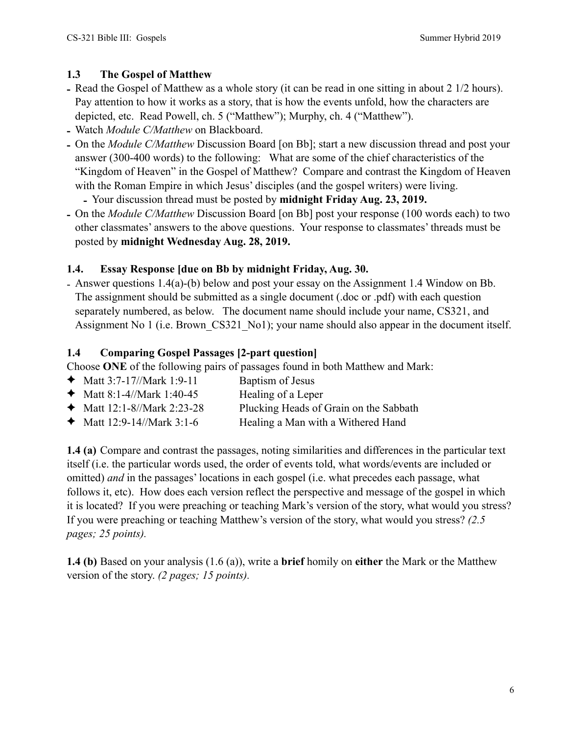# **1.3 The Gospel of Matthew**

- **-** Read the Gospel of Matthew as a whole story (it can be read in one sitting in about 2 1/2 hours). Pay attention to how it works as a story, that is how the events unfold, how the characters are depicted, etc. Read Powell, ch. 5 ("Matthew"); Murphy, ch. 4 ("Matthew").
- **-** Watch *Module C/Matthew* on Blackboard.
- **-** On the *Module C/Matthew* Discussion Board [on Bb]; start a new discussion thread and post your answer (300-400 words) to the following: What are some of the chief characteristics of the "Kingdom of Heaven" in the Gospel of Matthew? Compare and contrast the Kingdom of Heaven with the Roman Empire in which Jesus' disciples (and the gospel writers) were living.
	- **-** Your discussion thread must be posted by **midnight Friday Aug. 23, 2019.**
- **-** On the *Module C/Matthew* Discussion Board [on Bb] post your response (100 words each) to two other classmates' answers to the above questions. Your response to classmates' threads must be posted by **midnight Wednesday Aug. 28, 2019.**

# **1.4. Essay Response [due on Bb by midnight Friday, Aug. 30.**

- Answer questions 1.4(a)-(b) below and post your essay on the Assignment 1.4 Window on Bb. The assignment should be submitted as a single document (.doc or .pdf) with each question separately numbered, as below. The document name should include your name, CS321, and Assignment No 1 (i.e. Brown CS321 No1); your name should also appear in the document itself.

# **1.4 Comparing Gospel Passages [2-part question]**

Choose **ONE** of the following pairs of passages found in both Matthew and Mark:

- $\triangleleft$  Matt 3:7-17//Mark 1:9-11 Baptism of Jesus
- $\blacklozenge$  Matt 8:1-4//Mark 1:40-45 Healing of a Leper
- ✦ Matt 12:1-8//Mark 2:23-28 Plucking Heads of Grain on the Sabbath
- ✦ Matt 12:9-14//Mark 3:1-6 Healing a Man with a Withered Hand

**1.4 (a)** Compare and contrast the passages, noting similarities and differences in the particular text itself (i.e. the particular words used, the order of events told, what words/events are included or omitted) *and* in the passages' locations in each gospel (i.e. what precedes each passage, what follows it, etc). How does each version reflect the perspective and message of the gospel in which it is located? If you were preaching or teaching Mark's version of the story, what would you stress? If you were preaching or teaching Matthew's version of the story, what would you stress? *(2.5 pages; 25 points).*

**1.4 (b)** Based on your analysis (1.6 (a)), write a **brief** homily on **either** the Mark or the Matthew version of the story. *(2 pages; 15 points).*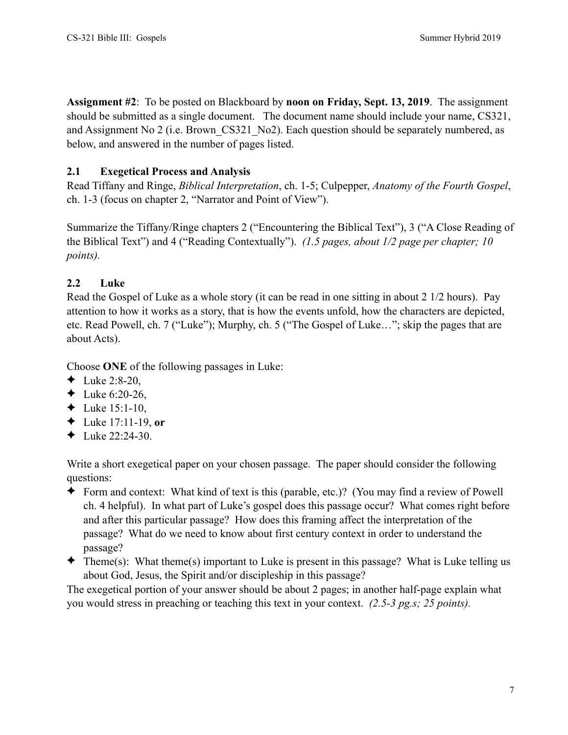**Assignment #2**: To be posted on Blackboard by **noon on Friday, Sept. 13, 2019**. The assignment should be submitted as a single document. The document name should include your name, CS321, and Assignment No 2 (i.e. Brown\_CS321\_No2). Each question should be separately numbered, as below, and answered in the number of pages listed.

# **2.1 Exegetical Process and Analysis**

Read Tiffany and Ringe, *Biblical Interpretation*, ch. 1-5; Culpepper, *Anatomy of the Fourth Gospel*, ch. 1-3 (focus on chapter 2, "Narrator and Point of View").

Summarize the Tiffany/Ringe chapters 2 ("Encountering the Biblical Text"), 3 ("A Close Reading of the Biblical Text") and 4 ("Reading Contextually"). *(1.5 pages, about 1/2 page per chapter; 10 points).*

# **2.2 Luke**

Read the Gospel of Luke as a whole story (it can be read in one sitting in about 2 1/2 hours). Pay attention to how it works as a story, that is how the events unfold, how the characters are depicted, etc. Read Powell, ch. 7 ("Luke"); Murphy, ch. 5 ("The Gospel of Luke…"; skip the pages that are about Acts).

Choose **ONE** of the following passages in Luke:

- ◆ Luke 2:8-20,
- ← Luke  $6:20-26$ .
- ← Luke  $15:1-10$ ,
- ✦ Luke 17:11-19, **or**
- ← Luke  $22:24-30$ .

Write a short exegetical paper on your chosen passage. The paper should consider the following questions:

- ✦ Form and context: What kind of text is this (parable, etc.)? (You may find a review of Powell ch. 4 helpful). In what part of Luke's gospel does this passage occur? What comes right before and after this particular passage? How does this framing affect the interpretation of the passage? What do we need to know about first century context in order to understand the passage?
- $\triangleleft$  Theme(s): What theme(s) important to Luke is present in this passage? What is Luke telling us about God, Jesus, the Spirit and/or discipleship in this passage?

The exegetical portion of your answer should be about 2 pages; in another half-page explain what you would stress in preaching or teaching this text in your context. *(2.5-3 pg.s; 25 points).*